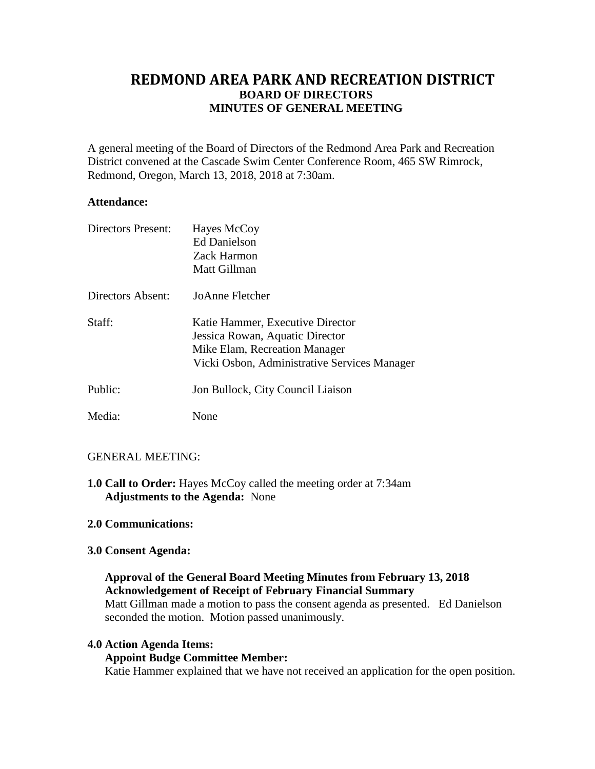# **REDMOND AREA PARK AND RECREATION DISTRICT BOARD OF DIRECTORS MINUTES OF GENERAL MEETING**

A general meeting of the Board of Directors of the Redmond Area Park and Recreation District convened at the Cascade Swim Center Conference Room, 465 SW Rimrock, Redmond, Oregon, March 13, 2018, 2018 at 7:30am.

## **Attendance:**

| Directors Present: | Hayes McCoy<br><b>Ed Danielson</b><br><b>Zack Harmon</b><br>Matt Gillman                                                                             |
|--------------------|------------------------------------------------------------------------------------------------------------------------------------------------------|
| Directors Absent:  | JoAnne Fletcher                                                                                                                                      |
| Staff:             | Katie Hammer, Executive Director<br>Jessica Rowan, Aquatic Director<br>Mike Elam, Recreation Manager<br>Vicki Osbon, Administrative Services Manager |
| Public:            | Jon Bullock, City Council Liaison                                                                                                                    |
| Media:             | None                                                                                                                                                 |

# GENERAL MEETING:

**1.0 Call to Order:** Hayes McCoy called the meeting order at 7:34am **Adjustments to the Agenda:** None

# **2.0 Communications:**

# **3.0 Consent Agenda:**

# **Approval of the General Board Meeting Minutes from February 13, 2018 Acknowledgement of Receipt of February Financial Summary** Matt Gillman made a motion to pass the consent agenda as presented. Ed Danielson seconded the motion. Motion passed unanimously.

## **4.0 Action Agenda Items:**

## **Appoint Budge Committee Member:**

Katie Hammer explained that we have not received an application for the open position.